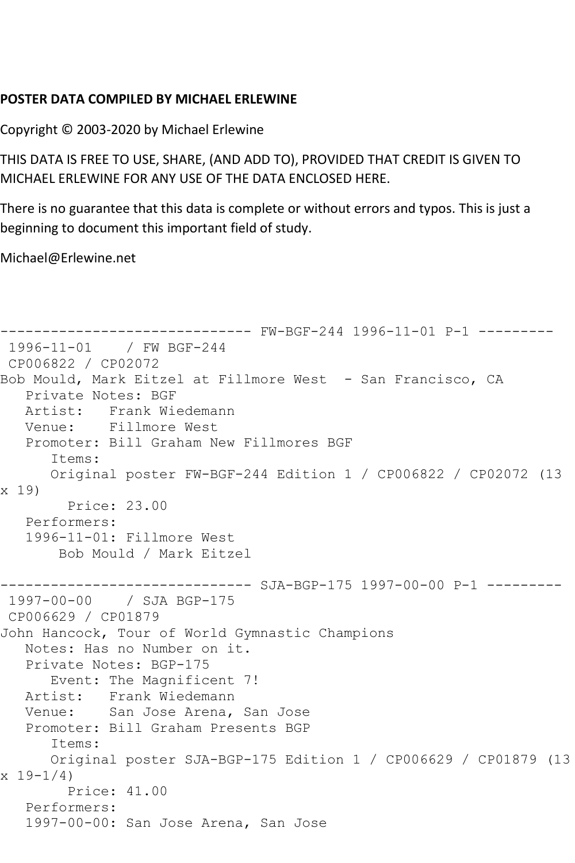## **POSTER DATA COMPILED BY MICHAEL ERLEWINE**

Copyright © 2003-2020 by Michael Erlewine

THIS DATA IS FREE TO USE, SHARE, (AND ADD TO), PROVIDED THAT CREDIT IS GIVEN TO MICHAEL ERLEWINE FOR ANY USE OF THE DATA ENCLOSED HERE.

There is no guarantee that this data is complete or without errors and typos. This is just a beginning to document this important field of study.

Michael@Erlewine.net

```
------------------------------ FW-BGF-244 1996-11-01 P-1 ---------
1996-11-01 / FW BGF-244
CP006822 / CP02072
Bob Mould, Mark Eitzel at Fillmore West - San Francisco, CA
   Private Notes: BGF
   Artist: Frank Wiedemann
   Venue: Fillmore West
   Promoter: Bill Graham New Fillmores BGF
      Items:
      Original poster FW-BGF-244 Edition 1 / CP006822 / CP02072 (13 
x 19)
        Price: 23.00
   Performers:
   1996-11-01: Fillmore West
       Bob Mould / Mark Eitzel
------------------------------ SJA-BGP-175 1997-00-00 P-1 ---------
1997-00-00 / SJA BGP-175
CP006629 / CP01879
John Hancock, Tour of World Gymnastic Champions
   Notes: Has no Number on it.
   Private Notes: BGP-175
      Event: The Magnificent 7!
   Artist: Frank Wiedemann
   Venue: San Jose Arena, San Jose
   Promoter: Bill Graham Presents BGP
      Items:
      Original poster SJA-BGP-175 Edition 1 / CP006629 / CP01879 (13 
x 19-1/4 Price: 41.00
   Performers:
   1997-00-00: San Jose Arena, San Jose
```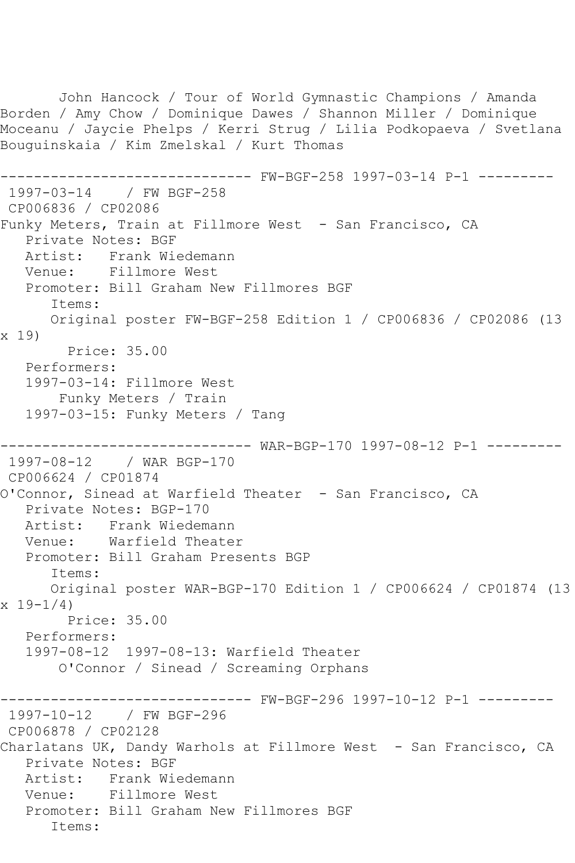John Hancock / Tour of World Gymnastic Champions / Amanda Borden / Amy Chow / Dominique Dawes / Shannon Miller / Dominique Moceanu / Jaycie Phelps / Kerri Strug / Lilia Podkopaeva / Svetlana Bouguinskaia / Kim Zmelskal / Kurt Thomas ------------------------------ FW-BGF-258 1997-03-14 P-1 --------- 1997-03-14 / FW BGF-258 CP006836 / CP02086 Funky Meters, Train at Fillmore West - San Francisco, CA Private Notes: BGF Artist: Frank Wiedemann<br>Venue: Fillmore West Fillmore West Promoter: Bill Graham New Fillmores BGF Items: Original poster FW-BGF-258 Edition 1 / CP006836 / CP02086 (13 x 19) Price: 35.00 Performers: 1997-03-14: Fillmore West Funky Meters / Train 1997-03-15: Funky Meters / Tang ------------------------------ WAR-BGP-170 1997-08-12 P-1 --------- 1997-08-12 / WAR BGP-170 CP006624 / CP01874 O'Connor, Sinead at Warfield Theater - San Francisco, CA Private Notes: BGP-170 Artist: Frank Wiedemann Venue: Warfield Theater Promoter: Bill Graham Presents BGP Items: Original poster WAR-BGP-170 Edition 1 / CP006624 / CP01874 (13  $x 19-1/4$  Price: 35.00 Performers: 1997-08-12 1997-08-13: Warfield Theater O'Connor / Sinead / Screaming Orphans ------------------------------ FW-BGF-296 1997-10-12 P-1 --------- 1997-10-12 / FW BGF-296 CP006878 / CP02128 Charlatans UK, Dandy Warhols at Fillmore West - San Francisco, CA Private Notes: BGF Artist: Frank Wiedemann Venue: Fillmore West Promoter: Bill Graham New Fillmores BGF Items: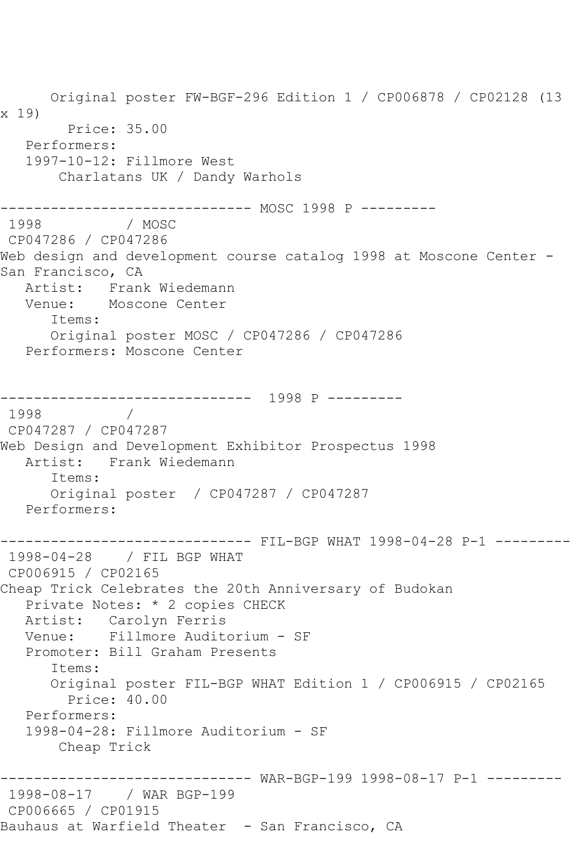Original poster FW-BGF-296 Edition 1 / CP006878 / CP02128 (13 x 19) Price: 35.00 Performers: 1997-10-12: Fillmore West Charlatans UK / Dandy Warhols ------------------------------ MOSC 1998 P --------- 1998 / MOSC CP047286 / CP047286 Web design and development course catalog 1998 at Moscone Center -San Francisco, CA Artist: Frank Wiedemann Venue: Moscone Center Items: Original poster MOSC / CP047286 / CP047286 Performers: Moscone Center ------------------------------ 1998 P --------- 1998 CP047287 / CP047287 Web Design and Development Exhibitor Prospectus 1998 Frank Wiedemann Items: Original poster / CP047287 / CP047287 Performers: ------------------------------ FIL-BGP WHAT 1998-04-28 P-1 --------- 1998-04-28 / FIL BGP WHAT CP006915 / CP02165 Cheap Trick Celebrates the 20th Anniversary of Budokan Private Notes: \* 2 copies CHECK Artist: Carolyn Ferris Venue: Fillmore Auditorium - SF Promoter: Bill Graham Presents Items: Original poster FIL-BGP WHAT Edition 1 / CP006915 / CP02165 Price: 40.00 Performers: 1998-04-28: Fillmore Auditorium - SF Cheap Trick ------------------------------ WAR-BGP-199 1998-08-17 P-1 --------- 1998-08-17 / WAR BGP-199 CP006665 / CP01915 Bauhaus at Warfield Theater - San Francisco, CA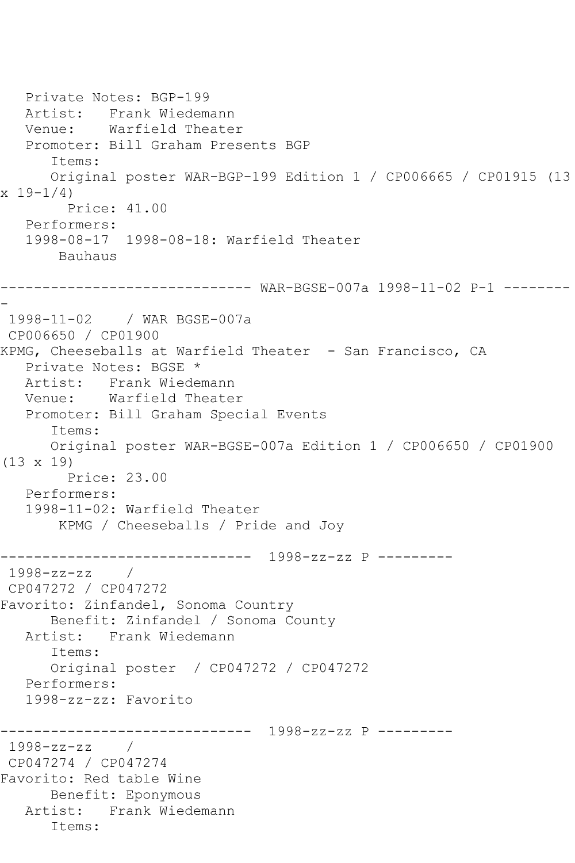```
 Private Notes: BGP-199
   Artist: Frank Wiedemann
   Venue: Warfield Theater
   Promoter: Bill Graham Presents BGP
       Items:
      Original poster WAR-BGP-199 Edition 1 / CP006665 / CP01915 (13 
x 19 - 1/4 Price: 41.00
   Performers:
   1998-08-17 1998-08-18: Warfield Theater
       Bauhaus
      ------------------------------ WAR-BGSE-007a 1998-11-02 P-1 --------
-
1998-11-02 / WAR BGSE-007a
CP006650 / CP01900
KPMG, Cheeseballs at Warfield Theater - San Francisco, CA
   Private Notes: BGSE *
   Artist: Frank Wiedemann
   Venue: Warfield Theater
   Promoter: Bill Graham Special Events
       Items:
      Original poster WAR-BGSE-007a Edition 1 / CP006650 / CP01900 
(13 x 19)
         Price: 23.00
   Performers:
   1998-11-02: Warfield Theater
        KPMG / Cheeseballs / Pride and Joy
------------------------------ 1998-zz-zz P ---------
1998-zz-zz / 
CP047272 / CP047272
Favorito: Zinfandel, Sonoma Country
      Benefit: Zinfandel / Sonoma County
   Artist: Frank Wiedemann
      Items:
      Original poster / CP047272 / CP047272
   Performers:
   1998-zz-zz: Favorito
                  ------------------------------ 1998-zz-zz P ---------
1998-zz-zz / 
CP047274 / CP047274
Favorito: Red table Wine
      Benefit: Eponymous
   Artist: Frank Wiedemann
       Items:
```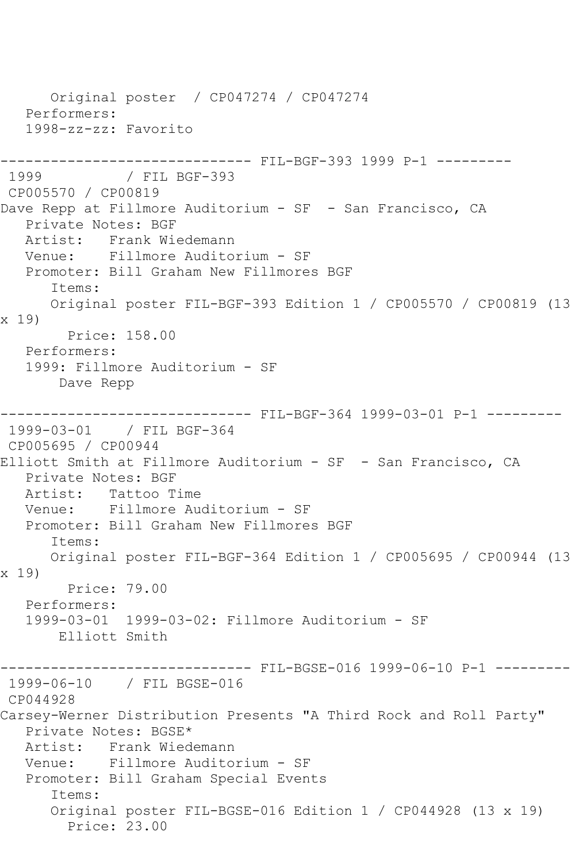Original poster / CP047274 / CP047274 Performers: 1998-zz-zz: Favorito ------------------------------ FIL-BGF-393 1999 P-1 --------- 1999 / FIL BGF-393 CP005570 / CP00819 Dave Repp at Fillmore Auditorium - SF - San Francisco, CA Private Notes: BGF Artist: Frank Wiedemann Venue: Fillmore Auditorium - SF Promoter: Bill Graham New Fillmores BGF Items: Original poster FIL-BGF-393 Edition 1 / CP005570 / CP00819 (13 x 19) Price: 158.00 Performers: 1999: Fillmore Auditorium - SF Dave Repp ------------------------------ FIL-BGF-364 1999-03-01 P-1 --------- 1999-03-01 / FIL BGF-364 CP005695 / CP00944 Elliott Smith at Fillmore Auditorium - SF - San Francisco, CA Private Notes: BGF Artist: Tattoo Time Venue: Fillmore Auditorium - SF Promoter: Bill Graham New Fillmores BGF Items: Original poster FIL-BGF-364 Edition 1 / CP005695 / CP00944 (13 x 19) Price: 79.00 Performers: 1999-03-01 1999-03-02: Fillmore Auditorium - SF Elliott Smith ------------------------------ FIL-BGSE-016 1999-06-10 P-1 --------- 1999-06-10 / FIL BGSE-016 CP044928 Carsey-Werner Distribution Presents "A Third Rock and Roll Party" Private Notes: BGSE\* Artist: Frank Wiedemann Venue: Fillmore Auditorium - SF Promoter: Bill Graham Special Events Items: Original poster FIL-BGSE-016 Edition 1 / CP044928 (13 x 19) Price: 23.00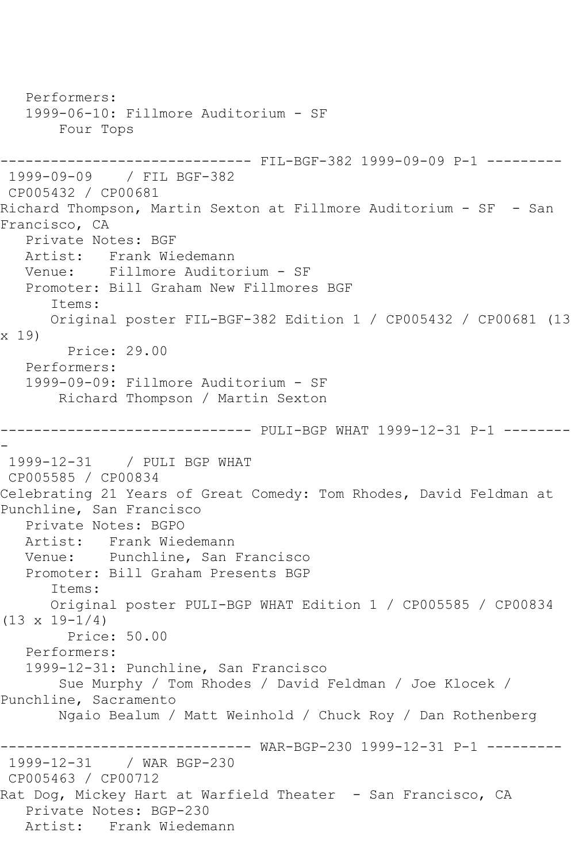Performers: 1999-06-10: Fillmore Auditorium - SF Four Tops ------------------------------ FIL-BGF-382 1999-09-09 P-1 --------- 1999-09-09 / FIL BGF-382 CP005432 / CP00681 Richard Thompson, Martin Sexton at Fillmore Auditorium - SF - San Francisco, CA Private Notes: BGF Artist: Frank Wiedemann<br>Venue: Fillmore Audito Fillmore Auditorium - SF Promoter: Bill Graham New Fillmores BGF Items: Original poster FIL-BGF-382 Edition 1 / CP005432 / CP00681 (13 x 19) Price: 29.00 Performers: 1999-09-09: Fillmore Auditorium - SF Richard Thompson / Martin Sexton ------------------------------ PULI-BGP WHAT 1999-12-31 P-1 -------- - 1999-12-31 / PULI BGP WHAT CP005585 / CP00834 Celebrating 21 Years of Great Comedy: Tom Rhodes, David Feldman at Punchline, San Francisco Private Notes: BGPO Artist: Frank Wiedemann Venue: Punchline, San Francisco Promoter: Bill Graham Presents BGP Items: Original poster PULI-BGP WHAT Edition 1 / CP005585 / CP00834  $(13 \times 19 - 1/4)$  Price: 50.00 Performers: 1999-12-31: Punchline, San Francisco Sue Murphy / Tom Rhodes / David Feldman / Joe Klocek / Punchline, Sacramento Ngaio Bealum / Matt Weinhold / Chuck Roy / Dan Rothenberg ------------------------------ WAR-BGP-230 1999-12-31 P-1 --------- 1999-12-31 / WAR BGP-230 CP005463 / CP00712 Rat Dog, Mickey Hart at Warfield Theater - San Francisco, CA Private Notes: BGP-230 Artist: Frank Wiedemann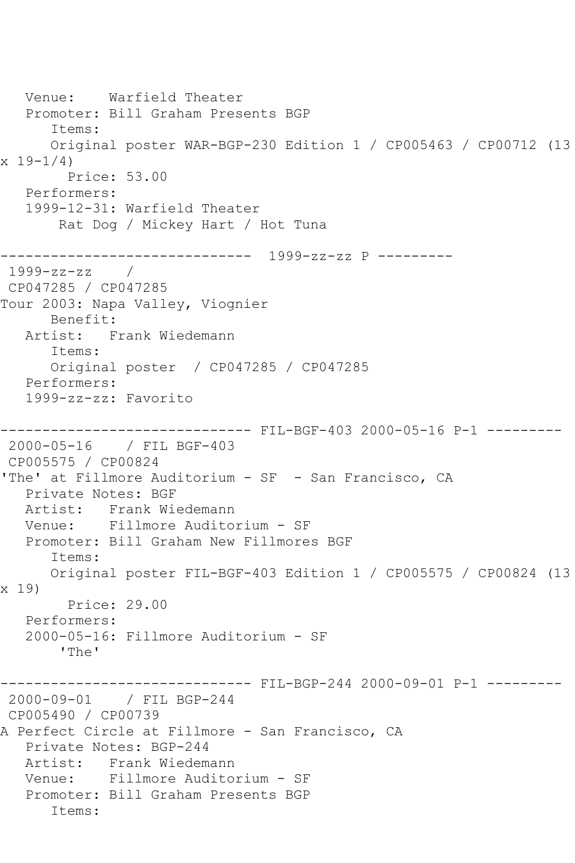Venue: Warfield Theater Promoter: Bill Graham Presents BGP Items: Original poster WAR-BGP-230 Edition 1 / CP005463 / CP00712 (13  $x 19-1/4$  Price: 53.00 Performers: 1999-12-31: Warfield Theater Rat Dog / Mickey Hart / Hot Tuna ------------------------------ 1999-zz-zz P --------- 1999-zz-zz / CP047285 / CP047285 Tour 2003: Napa Valley, Viognier Benefit: Artist: Frank Wiedemann Items: Original poster / CP047285 / CP047285 Performers: 1999-zz-zz: Favorito ------------------------------ FIL-BGF-403 2000-05-16 P-1 --------- 2000-05-16 / FIL BGF-403 CP005575 / CP00824 'The' at Fillmore Auditorium - SF - San Francisco, CA Private Notes: BGF Artist: Frank Wiedemann Venue: Fillmore Auditorium - SF Promoter: Bill Graham New Fillmores BGF Items: Original poster FIL-BGF-403 Edition 1 / CP005575 / CP00824 (13 x 19) Price: 29.00 Performers: 2000-05-16: Fillmore Auditorium - SF 'The' -------- FIL-BGP-244 2000-09-01 P-1 ---------2000-09-01 / FIL BGP-244 CP005490 / CP00739 A Perfect Circle at Fillmore - San Francisco, CA Private Notes: BGP-244 Artist: Frank Wiedemann Venue: Fillmore Auditorium - SF Promoter: Bill Graham Presents BGP Items: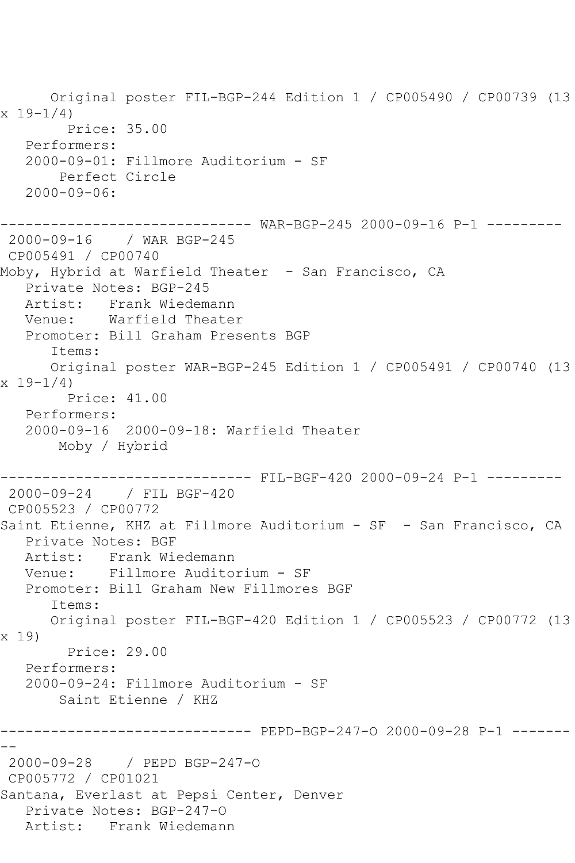Original poster FIL-BGP-244 Edition 1 / CP005490 / CP00739 (13  $x 19 - 1/4$  Price: 35.00 Performers: 2000-09-01: Fillmore Auditorium - SF Perfect Circle 2000-09-06: ------------------------------ WAR-BGP-245 2000-09-16 P-1 --------- 2000-09-16 / WAR BGP-245 CP005491 / CP00740 Moby, Hybrid at Warfield Theater - San Francisco, CA Private Notes: BGP-245 Artist: Frank Wiedemann Venue: Warfield Theater Promoter: Bill Graham Presents BGP Items: Original poster WAR-BGP-245 Edition 1 / CP005491 / CP00740 (13  $x 19 - 1/4$  Price: 41.00 Performers: 2000-09-16 2000-09-18: Warfield Theater Moby / Hybrid ------------------------------ FIL-BGF-420 2000-09-24 P-1 --------- 2000-09-24 / FIL BGF-420 CP005523 / CP00772 Saint Etienne, KHZ at Fillmore Auditorium - SF - San Francisco, CA Private Notes: BGF Artist: Frank Wiedemann Venue: Fillmore Auditorium - SF Promoter: Bill Graham New Fillmores BGF Items: Original poster FIL-BGF-420 Edition 1 / CP005523 / CP00772 (13 x 19) Price: 29.00 Performers: 2000-09-24: Fillmore Auditorium - SF Saint Etienne / KHZ ------------------------------ PEPD-BGP-247-O 2000-09-28 P-1 ------- -- 2000-09-28 / PEPD BGP-247-O CP005772 / CP01021 Santana, Everlast at Pepsi Center, Denver Private Notes: BGP-247-O Artist: Frank Wiedemann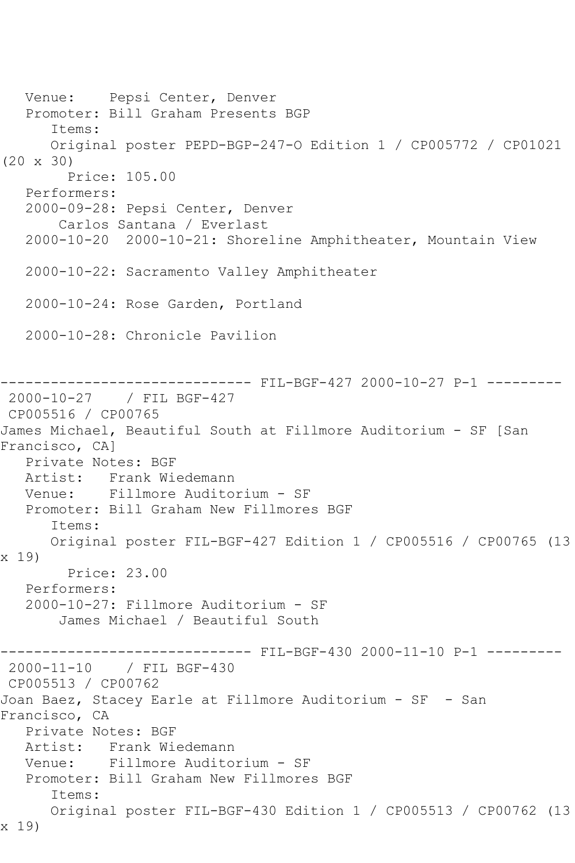Venue: Pepsi Center, Denver Promoter: Bill Graham Presents BGP Items: Original poster PEPD-BGP-247-O Edition 1 / CP005772 / CP01021 (20 x 30) Price: 105.00 Performers: 2000-09-28: Pepsi Center, Denver Carlos Santana / Everlast 2000-10-20 2000-10-21: Shoreline Amphitheater, Mountain View 2000-10-22: Sacramento Valley Amphitheater 2000-10-24: Rose Garden, Portland 2000-10-28: Chronicle Pavilion ------------------------------ FIL-BGF-427 2000-10-27 P-1 --------- 2000-10-27 / FIL BGF-427 CP005516 / CP00765 James Michael, Beautiful South at Fillmore Auditorium - SF [San Francisco, CA] Private Notes: BGF Artist: Frank Wiedemann<br>Venue: Fillmore Audito Fillmore Auditorium - SF Promoter: Bill Graham New Fillmores BGF Items: Original poster FIL-BGF-427 Edition 1 / CP005516 / CP00765 (13 x 19) Price: 23.00 Performers: 2000-10-27: Fillmore Auditorium - SF James Michael / Beautiful South ------------------------------ FIL-BGF-430 2000-11-10 P-1 --------- 2000-11-10 / FIL BGF-430 CP005513 / CP00762 Joan Baez, Stacey Earle at Fillmore Auditorium - SF - San Francisco, CA Private Notes: BGF Artist: Frank Wiedemann Venue: Fillmore Auditorium - SF Promoter: Bill Graham New Fillmores BGF Items: Original poster FIL-BGF-430 Edition 1 / CP005513 / CP00762 (13 x 19)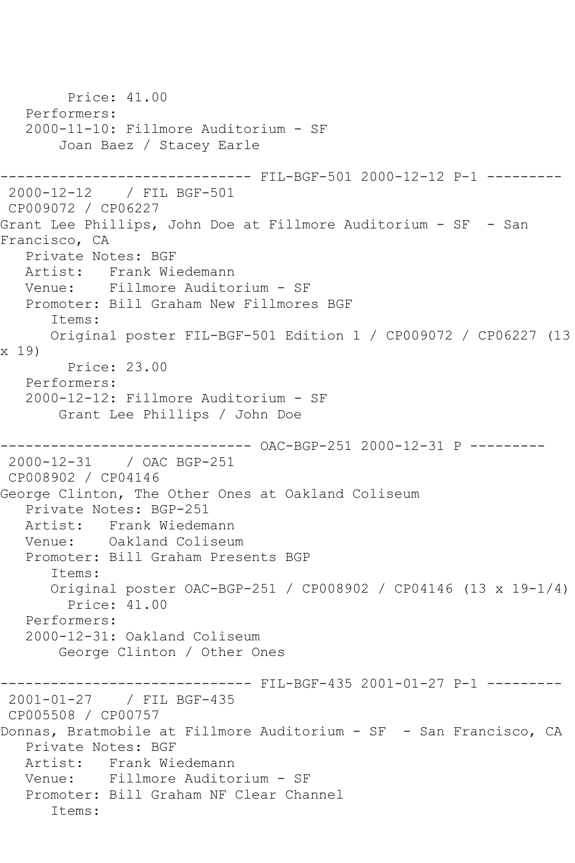```
 Price: 41.00
   Performers:
   2000-11-10: Fillmore Auditorium - SF
        Joan Baez / Stacey Earle
                 ------------------------------ FIL-BGF-501 2000-12-12 P-1 ---------
2000-12-12 / FIL BGF-501
CP009072 / CP06227
Grant Lee Phillips, John Doe at Fillmore Auditorium - SF - San 
Francisco, CA
   Private Notes: BGF
   Artist: Frank Wiedemann
   Venue: Fillmore Auditorium - SF
   Promoter: Bill Graham New Fillmores BGF
       Items:
      Original poster FIL-BGF-501 Edition 1 / CP009072 / CP06227 (13 
x 19)
         Price: 23.00
   Performers:
   2000-12-12: Fillmore Auditorium - SF
        Grant Lee Phillips / John Doe
------------------------------ OAC-BGP-251 2000-12-31 P ---------
2000-12-31 / OAC BGP-251
CP008902 / CP04146
George Clinton, The Other Ones at Oakland Coliseum
   Private Notes: BGP-251
   Artist: Frank Wiedemann
   Venue: Oakland Coliseum
   Promoter: Bill Graham Presents BGP
       Items:
       Original poster OAC-BGP-251 / CP008902 / CP04146 (13 x 19-1/4)
         Price: 41.00
   Performers:
   2000-12-31: Oakland Coliseum
        George Clinton / Other Ones
                    ---------- FIL-BGF-435 2001-01-27 P-1 ---------
2001-01-27 / FIL BGF-435
CP005508 / CP00757
Donnas, Bratmobile at Fillmore Auditorium - SF - San Francisco, CA
   Private Notes: BGF
   Artist: Frank Wiedemann
   Venue: Fillmore Auditorium - SF
   Promoter: Bill Graham NF Clear Channel
       Items:
```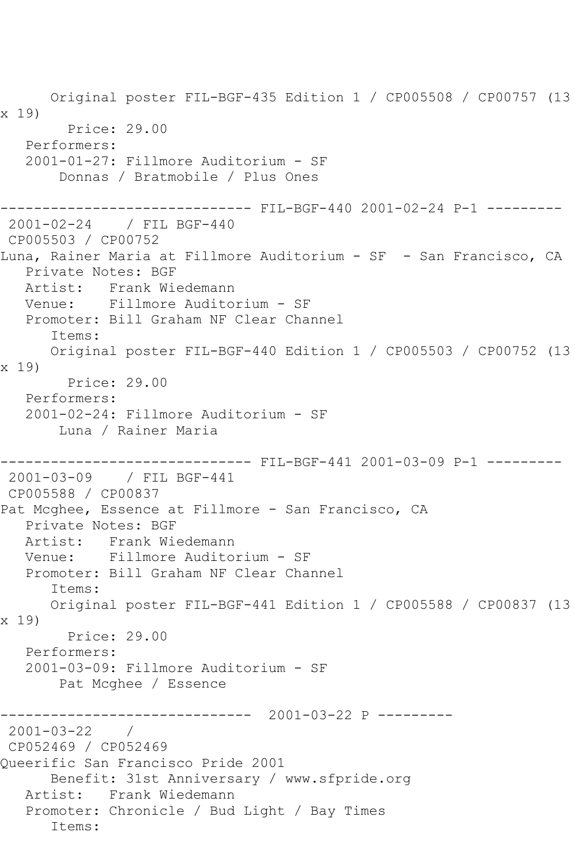Original poster FIL-BGF-435 Edition 1 / CP005508 / CP00757 (13 x 19) Price: 29.00 Performers: 2001-01-27: Fillmore Auditorium - SF Donnas / Bratmobile / Plus Ones ------------------------------ FIL-BGF-440 2001-02-24 P-1 --------- 2001-02-24 / FIL BGF-440 CP005503 / CP00752 Luna, Rainer Maria at Fillmore Auditorium - SF - San Francisco, CA Private Notes: BGF Artist: Frank Wiedemann Venue: Fillmore Auditorium - SF Promoter: Bill Graham NF Clear Channel Items: Original poster FIL-BGF-440 Edition 1 / CP005503 / CP00752 (13 x 19) Price: 29.00 Performers: 2001-02-24: Fillmore Auditorium - SF Luna / Rainer Maria ------------------------------ FIL-BGF-441 2001-03-09 P-1 --------- 2001-03-09 / FIL BGF-441 CP005588 / CP00837 Pat Mcghee, Essence at Fillmore - San Francisco, CA Private Notes: BGF Artist: Frank Wiedemann Venue: Fillmore Auditorium - SF Promoter: Bill Graham NF Clear Channel Items: Original poster FIL-BGF-441 Edition 1 / CP005588 / CP00837 (13 x 19) Price: 29.00 Performers: 2001-03-09: Fillmore Auditorium - SF Pat Mcghee / Essence ------------------------------ 2001-03-22 P --------- 2001-03-22 / CP052469 / CP052469 Queerific San Francisco Pride 2001 Benefit: 31st Anniversary / www.sfpride.org Artist: Frank Wiedemann Promoter: Chronicle / Bud Light / Bay Times Items: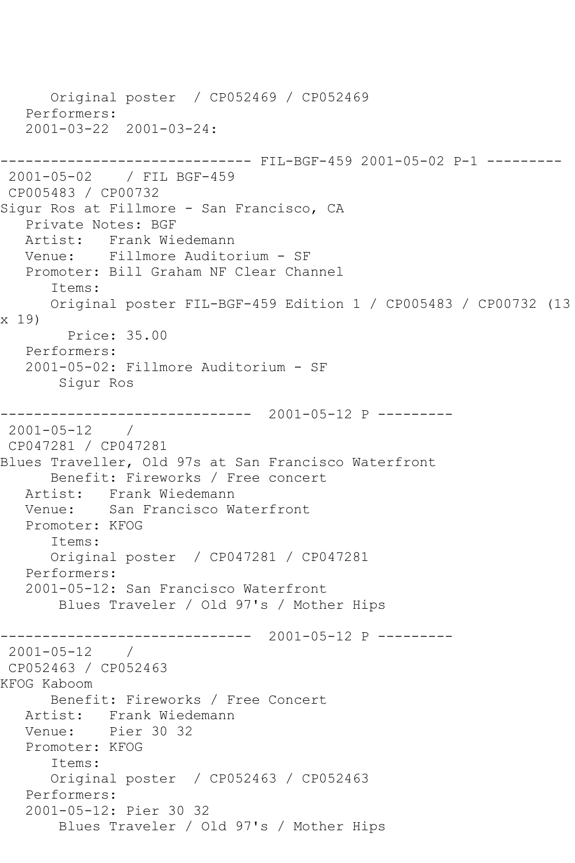```
 Original poster / CP052469 / CP052469
   Performers:
   2001-03-22 2001-03-24:
------------------------------ FIL-BGF-459 2001-05-02 P-1 ---------
2001-05-02 / FIL BGF-459
CP005483 / CP00732
Sigur Ros at Fillmore - San Francisco, CA
   Private Notes: BGF
   Artist: Frank Wiedemann
   Venue: Fillmore Auditorium - SF
   Promoter: Bill Graham NF Clear Channel
       Items:
      Original poster FIL-BGF-459 Edition 1 / CP005483 / CP00732 (13 
x 19)
         Price: 35.00
   Performers:
   2001-05-02: Fillmore Auditorium - SF
        Sigur Ros
------------------------------ 2001-05-12 P ---------
2001-05-12 / 
CP047281 / CP047281
Blues Traveller, Old 97s at San Francisco Waterfront
      Benefit: Fireworks / Free concert
   Artist: Frank Wiedemann
   Venue: San Francisco Waterfront
   Promoter: KFOG
       Items:
       Original poster / CP047281 / CP047281
   Performers:
   2001-05-12: San Francisco Waterfront
        Blues Traveler / Old 97's / Mother Hips
         ------------------------------ 2001-05-12 P ---------
2001-05-12 / 
CP052463 / CP052463
KFOG Kaboom
      Benefit: Fireworks / Free Concert
   Artist: Frank Wiedemann
   Venue: Pier 30 32
   Promoter: KFOG
       Items:
      Original poster / CP052463 / CP052463
   Performers:
   2001-05-12: Pier 30 32
        Blues Traveler / Old 97's / Mother Hips
```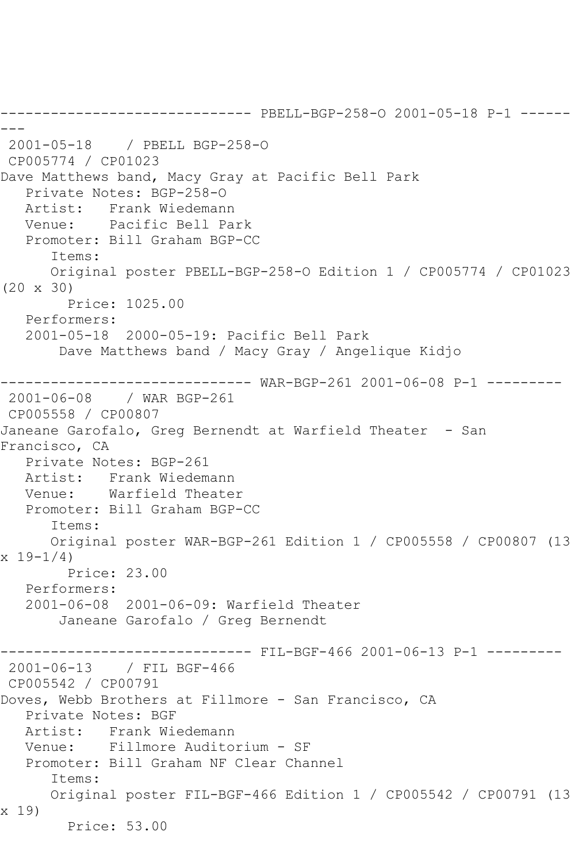------------------------------ PBELL-BGP-258-O 2001-05-18 P-1 ------ --- 2001-05-18 / PBELL BGP-258-O CP005774 / CP01023 Dave Matthews band, Macy Gray at Pacific Bell Park Private Notes: BGP-258-O Artist: Frank Wiedemann Venue: Pacific Bell Park Promoter: Bill Graham BGP-CC Items: Original poster PBELL-BGP-258-O Edition 1 / CP005774 / CP01023 (20 x 30) Price: 1025.00 Performers: 2001-05-18 2000-05-19: Pacific Bell Park Dave Matthews band / Macy Gray / Angelique Kidjo ------------------------------ WAR-BGP-261 2001-06-08 P-1 --------- 2001-06-08 / WAR BGP-261 CP005558 / CP00807 Janeane Garofalo, Greg Bernendt at Warfield Theater - San Francisco, CA Private Notes: BGP-261 Artist: Frank Wiedemann<br>Venue: Warfield Theate Warfield Theater Promoter: Bill Graham BGP-CC Items: Original poster WAR-BGP-261 Edition 1 / CP005558 / CP00807 (13  $x 19 - 1/4$  Price: 23.00 Performers: 2001-06-08 2001-06-09: Warfield Theater Janeane Garofalo / Greg Bernendt ------------------------------ FIL-BGF-466 2001-06-13 P-1 --------- 2001-06-13 / FIL BGF-466 CP005542 / CP00791 Doves, Webb Brothers at Fillmore - San Francisco, CA Private Notes: BGF Artist: Frank Wiedemann Venue: Fillmore Auditorium - SF Promoter: Bill Graham NF Clear Channel Items: Original poster FIL-BGF-466 Edition 1 / CP005542 / CP00791 (13 x 19) Price: 53.00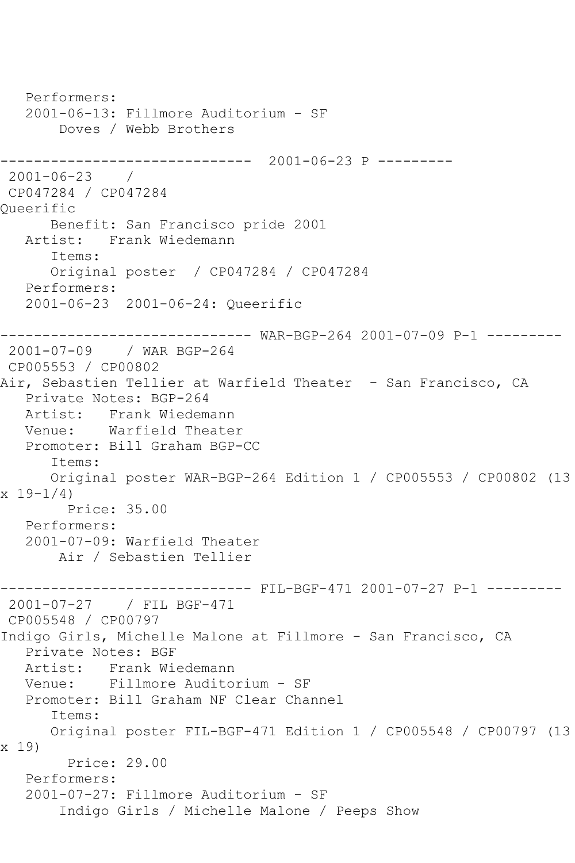```
 Performers:
   2001-06-13: Fillmore Auditorium - SF
        Doves / Webb Brothers
------------------------------ 2001-06-23 P ---------
2001-06-23 / 
CP047284 / CP047284
Queerific
      Benefit: San Francisco pride 2001
   Artist: Frank Wiedemann
       Items:
      Original poster / CP047284 / CP047284
   Performers:
   2001-06-23 2001-06-24: Queerific
------------------------------ WAR-BGP-264 2001-07-09 P-1 ---------
2001-07-09 / WAR BGP-264
CP005553 / CP00802
Air, Sebastien Tellier at Warfield Theater - San Francisco, CA
   Private Notes: BGP-264
   Artist: Frank Wiedemann
   Venue: Warfield Theater
   Promoter: Bill Graham BGP-CC
       Items:
      Original poster WAR-BGP-264 Edition 1 / CP005553 / CP00802 (13 
x 19-1/4 Price: 35.00
   Performers:
   2001-07-09: Warfield Theater
        Air / Sebastien Tellier
                 ------------------------------ FIL-BGF-471 2001-07-27 P-1 ---------
2001-07-27 / FIL BGF-471
CP005548 / CP00797
Indigo Girls, Michelle Malone at Fillmore - San Francisco, CA
   Private Notes: BGF
   Artist: Frank Wiedemann
   Venue: Fillmore Auditorium - SF
   Promoter: Bill Graham NF Clear Channel
       Items:
      Original poster FIL-BGF-471 Edition 1 / CP005548 / CP00797 (13 
x 19)
         Price: 29.00
   Performers:
   2001-07-27: Fillmore Auditorium - SF
        Indigo Girls / Michelle Malone / Peeps Show
```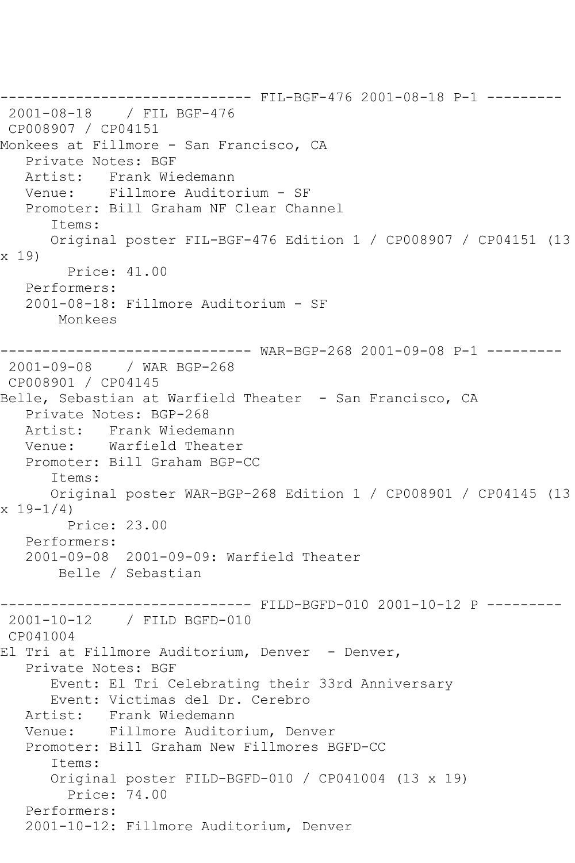------------------------------ FIL-BGF-476 2001-08-18 P-1 --------- 2001-08-18 / FIL BGF-476 CP008907 / CP04151 Monkees at Fillmore - San Francisco, CA Private Notes: BGF Artist: Frank Wiedemann Venue: Fillmore Auditorium - SF Promoter: Bill Graham NF Clear Channel Items: Original poster FIL-BGF-476 Edition 1 / CP008907 / CP04151 (13 x 19) Price: 41.00 Performers: 2001-08-18: Fillmore Auditorium - SF Monkees ------------------------------ WAR-BGP-268 2001-09-08 P-1 --------- 2001-09-08 / WAR BGP-268 CP008901 / CP04145 Belle, Sebastian at Warfield Theater - San Francisco, CA Private Notes: BGP-268 Artist: Frank Wiedemann Venue: Warfield Theater Promoter: Bill Graham BGP-CC Items: Original poster WAR-BGP-268 Edition 1 / CP008901 / CP04145 (13  $x 19 - 1/4$  Price: 23.00 Performers: 2001-09-08 2001-09-09: Warfield Theater Belle / Sebastian ------------------------------ FILD-BGFD-010 2001-10-12 P --------- 2001-10-12 / FILD BGFD-010 CP041004 El Tri at Fillmore Auditorium, Denver - Denver, Private Notes: BGF Event: El Tri Celebrating their 33rd Anniversary Event: Victimas del Dr. Cerebro<br>Artist: Frank Wiedemann Artist: Frank Wiedemann Venue: Fillmore Auditorium, Denver Promoter: Bill Graham New Fillmores BGFD-CC Items: Original poster FILD-BGFD-010 / CP041004 (13 x 19) Price: 74.00 Performers: 2001-10-12: Fillmore Auditorium, Denver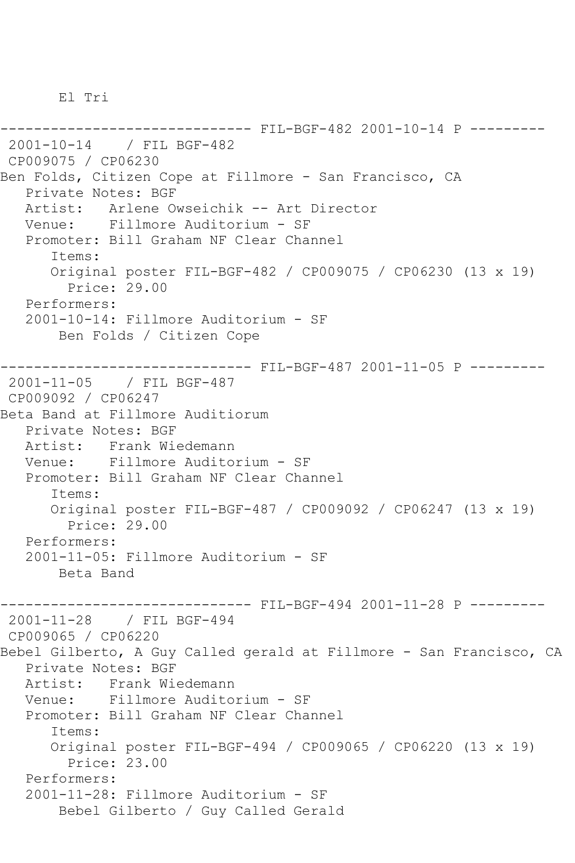El Tri

------------------------------ FIL-BGF-482 2001-10-14 P --------- 2001-10-14 / FIL BGF-482 CP009075 / CP06230 Ben Folds, Citizen Cope at Fillmore - San Francisco, CA Private Notes: BGF Artist: Arlene Owseichik -- Art Director Venue: Fillmore Auditorium - SF Promoter: Bill Graham NF Clear Channel Items: Original poster FIL-BGF-482 / CP009075 / CP06230 (13 x 19) Price: 29.00 Performers: 2001-10-14: Fillmore Auditorium - SF Ben Folds / Citizen Cope ------------------------------ FIL-BGF-487 2001-11-05 P --------- 2001-11-05 / FIL BGF-487 CP009092 / CP06247 Beta Band at Fillmore Auditiorum Private Notes: BGF Artist: Frank Wiedemann Venue: Fillmore Auditorium - SF Promoter: Bill Graham NF Clear Channel Items: Original poster FIL-BGF-487 / CP009092 / CP06247 (13 x 19) Price: 29.00 Performers: 2001-11-05: Fillmore Auditorium - SF Beta Band ------------------------------ FIL-BGF-494 2001-11-28 P --------- 2001-11-28 / FIL BGF-494 CP009065 / CP06220 Bebel Gilberto, A Guy Called gerald at Fillmore - San Francisco, CA Private Notes: BGF Artist: Frank Wiedemann<br>Venue: Fillmore Audito Fillmore Auditorium - SF Promoter: Bill Graham NF Clear Channel Items: Original poster FIL-BGF-494 / CP009065 / CP06220 (13 x 19) Price: 23.00 Performers: 2001-11-28: Fillmore Auditorium - SF Bebel Gilberto / Guy Called Gerald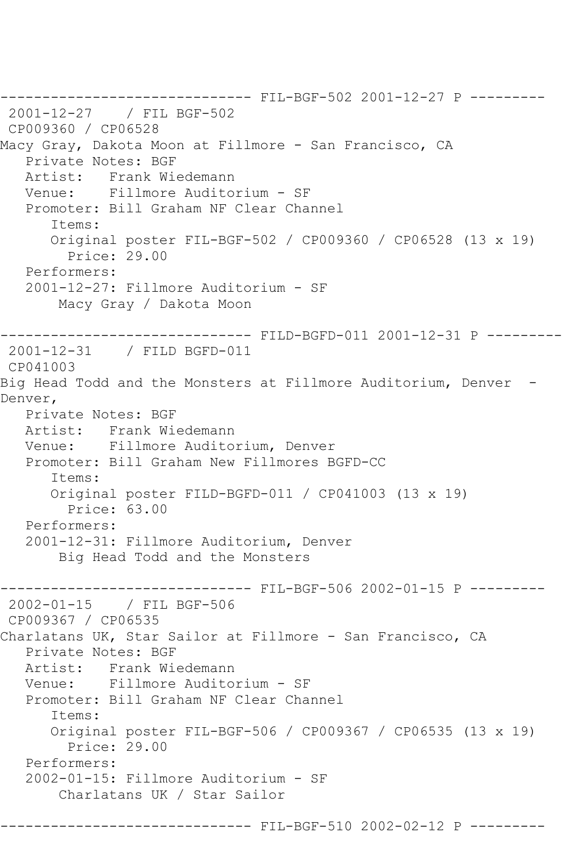------------------------------ FIL-BGF-502 2001-12-27 P --------- 2001-12-27 / FIL BGF-502 CP009360 / CP06528 Macy Gray, Dakota Moon at Fillmore - San Francisco, CA Private Notes: BGF Artist: Frank Wiedemann Venue: Fillmore Auditorium - SF Promoter: Bill Graham NF Clear Channel Items: Original poster FIL-BGF-502 / CP009360 / CP06528 (13 x 19) Price: 29.00 Performers: 2001-12-27: Fillmore Auditorium - SF Macy Gray / Dakota Moon ------------------------------ FILD-BGFD-011 2001-12-31 P --------- 2001-12-31 / FILD BGFD-011 CP041003 Big Head Todd and the Monsters at Fillmore Auditorium, Denver -Denver, Private Notes: BGF Artist: Frank Wiedemann Venue: Fillmore Auditorium, Denver Promoter: Bill Graham New Fillmores BGFD-CC Items: Original poster FILD-BGFD-011 / CP041003 (13 x 19) Price: 63.00 Performers: 2001-12-31: Fillmore Auditorium, Denver Big Head Todd and the Monsters ------------------------------ FIL-BGF-506 2002-01-15 P --------- 2002-01-15 / FIL BGF-506 CP009367 / CP06535 Charlatans UK, Star Sailor at Fillmore - San Francisco, CA Private Notes: BGF Artist: Frank Wiedemann Venue: Fillmore Auditorium - SF Promoter: Bill Graham NF Clear Channel Items: Original poster FIL-BGF-506 / CP009367 / CP06535 (13 x 19) Price: 29.00 Performers: 2002-01-15: Fillmore Auditorium - SF Charlatans UK / Star Sailor

----- FIL-BGF-510 2002-02-12 P --------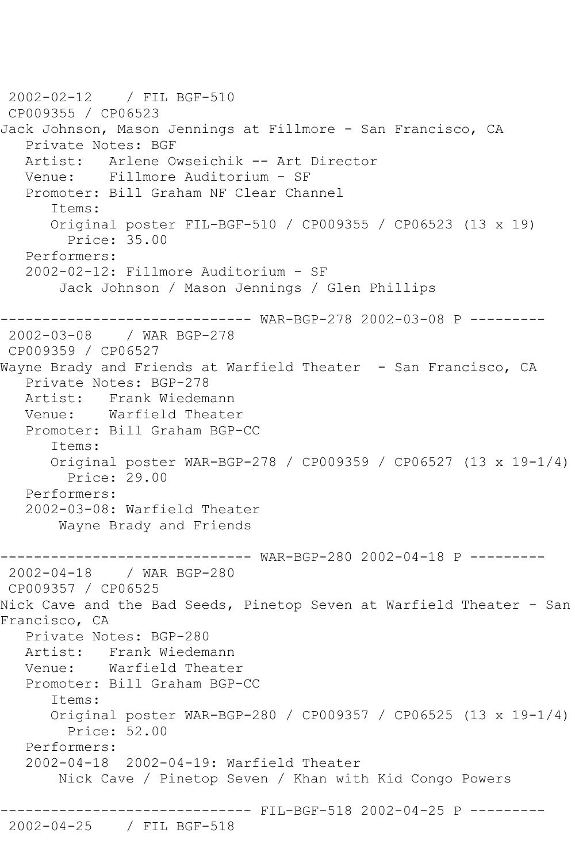2002-02-12 / FIL BGF-510 CP009355 / CP06523 Jack Johnson, Mason Jennings at Fillmore - San Francisco, CA Private Notes: BGF Artist: Arlene Owseichik -- Art Director Venue: Fillmore Auditorium - SF Promoter: Bill Graham NF Clear Channel Items: Original poster FIL-BGF-510 / CP009355 / CP06523 (13 x 19) Price: 35.00 Performers: 2002-02-12: Fillmore Auditorium - SF Jack Johnson / Mason Jennings / Glen Phillips ------------------------------ WAR-BGP-278 2002-03-08 P --------- 2002-03-08 / WAR BGP-278 CP009359 / CP06527 Wayne Brady and Friends at Warfield Theater - San Francisco, CA Private Notes: BGP-278 Artist: Frank Wiedemann Venue: Warfield Theater Promoter: Bill Graham BGP-CC Items: Original poster WAR-BGP-278 / CP009359 / CP06527 (13 x 19-1/4) Price: 29.00 Performers: 2002-03-08: Warfield Theater Wayne Brady and Friends ------------------------------ WAR-BGP-280 2002-04-18 P --------- 2002-04-18 / WAR BGP-280 CP009357 / CP06525 Nick Cave and the Bad Seeds, Pinetop Seven at Warfield Theater - San Francisco, CA Private Notes: BGP-280 Artist: Frank Wiedemann Venue: Warfield Theater Promoter: Bill Graham BGP-CC Items: Original poster WAR-BGP-280 / CP009357 / CP06525 (13 x 19-1/4) Price: 52.00 Performers: 2002-04-18 2002-04-19: Warfield Theater Nick Cave / Pinetop Seven / Khan with Kid Congo Powers ---------- FIL-BGF-518 2002-04-25 P ---------2002-04-25 / FIL BGF-518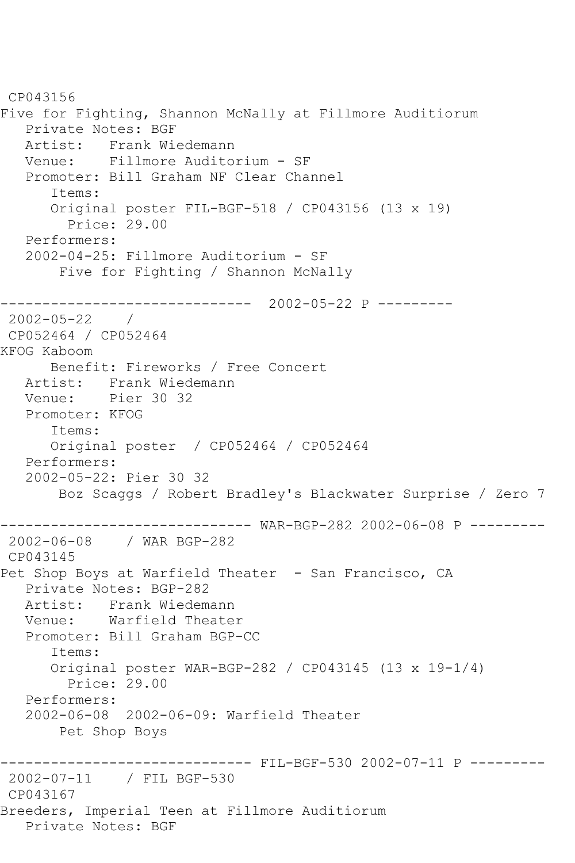CP043156 Five for Fighting, Shannon McNally at Fillmore Auditiorum Private Notes: BGF Artist: Frank Wiedemann Venue: Fillmore Auditorium - SF Promoter: Bill Graham NF Clear Channel Items: Original poster FIL-BGF-518 / CP043156 (13 x 19) Price: 29.00 Performers: 2002-04-25: Fillmore Auditorium - SF Five for Fighting / Shannon McNally ------------------------------ 2002-05-22 P --------- 2002-05-22 / CP052464 / CP052464 KFOG Kaboom Benefit: Fireworks / Free Concert Artist: Frank Wiedemann<br>Venue: Pier 30 32 Pier 30 32 Promoter: KFOG Items: Original poster / CP052464 / CP052464 Performers: 2002-05-22: Pier 30 32 Boz Scaggs / Robert Bradley's Blackwater Surprise / Zero 7 ------------------------------ WAR-BGP-282 2002-06-08 P --------- 2002-06-08 / WAR BGP-282 CP043145 Pet Shop Boys at Warfield Theater - San Francisco, CA Private Notes: BGP-282 Artist: Frank Wiedemann<br>Venue: Warfield Theate Warfield Theater Promoter: Bill Graham BGP-CC Items: Original poster WAR-BGP-282 / CP043145 (13 x 19-1/4) Price: 29.00 Performers: 2002-06-08 2002-06-09: Warfield Theater Pet Shop Boys ------------------------------ FIL-BGF-530 2002-07-11 P --------- 2002-07-11 / FIL BGF-530 CP043167 Breeders, Imperial Teen at Fillmore Auditiorum Private Notes: BGF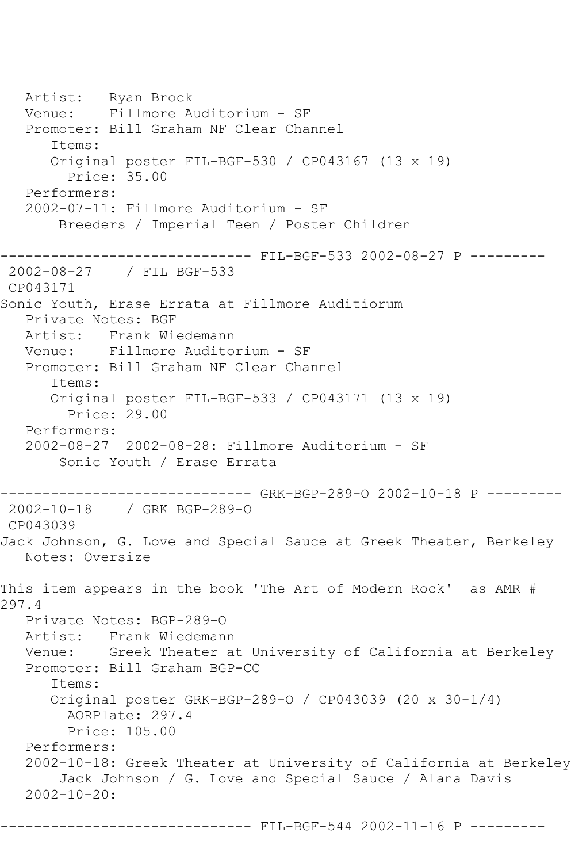Artist: Ryan Brock Venue: Fillmore Auditorium - SF Promoter: Bill Graham NF Clear Channel Items: Original poster FIL-BGF-530 / CP043167 (13 x 19) Price: 35.00 Performers: 2002-07-11: Fillmore Auditorium - SF Breeders / Imperial Teen / Poster Children ------------------------------ FIL-BGF-533 2002-08-27 P --------- 2002-08-27 / FIL BGF-533 CP043171 Sonic Youth, Erase Errata at Fillmore Auditiorum Private Notes: BGF Artist: Frank Wiedemann Venue: Fillmore Auditorium - SF Promoter: Bill Graham NF Clear Channel Items: Original poster FIL-BGF-533 / CP043171 (13 x 19) Price: 29.00 Performers: 2002-08-27 2002-08-28: Fillmore Auditorium - SF Sonic Youth / Erase Errata ------------------------------ GRK-BGP-289-O 2002-10-18 P --------- 2002-10-18 / GRK BGP-289-O CP043039 Jack Johnson, G. Love and Special Sauce at Greek Theater, Berkeley Notes: Oversize This item appears in the book 'The Art of Modern Rock' as AMR # 297.4 Private Notes: BGP-289-O Artist: Frank Wiedemann Venue: Greek Theater at University of California at Berkeley Promoter: Bill Graham BGP-CC Items: Original poster GRK-BGP-289-O / CP043039 (20 x 30-1/4) AORPlate: 297.4 Price: 105.00 Performers: 2002-10-18: Greek Theater at University of California at Berkeley Jack Johnson / G. Love and Special Sauce / Alana Davis 2002-10-20: ------------------------------ FIL-BGF-544 2002-11-16 P ---------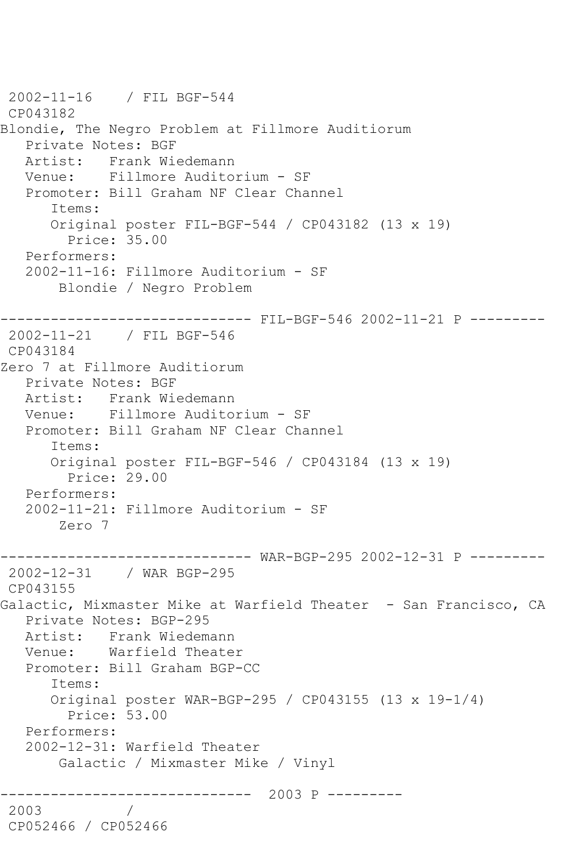2002-11-16 / FIL BGF-544 CP043182 Blondie, The Negro Problem at Fillmore Auditiorum Private Notes: BGF Artist: Frank Wiedemann Venue: Fillmore Auditorium - SF Promoter: Bill Graham NF Clear Channel Items: Original poster FIL-BGF-544 / CP043182 (13 x 19) Price: 35.00 Performers: 2002-11-16: Fillmore Auditorium - SF Blondie / Negro Problem ------------------------------ FIL-BGF-546 2002-11-21 P --------- 2002-11-21 / FIL BGF-546 CP043184 Zero 7 at Fillmore Auditiorum Private Notes: BGF Artist: Frank Wiedemann Venue: Fillmore Auditorium - SF Promoter: Bill Graham NF Clear Channel Items: Original poster FIL-BGF-546 / CP043184 (13 x 19) Price: 29.00 Performers: 2002-11-21: Fillmore Auditorium - SF Zero 7 ------------------------------ WAR-BGP-295 2002-12-31 P --------- 2002-12-31 / WAR BGP-295 CP043155 Galactic, Mixmaster Mike at Warfield Theater - San Francisco, CA Private Notes: BGP-295 Artist: Frank Wiedemann Venue: Warfield Theater Promoter: Bill Graham BGP-CC Items: Original poster WAR-BGP-295 / CP043155 (13 x 19-1/4) Price: 53.00 Performers: 2002-12-31: Warfield Theater Galactic / Mixmaster Mike / Vinyl ------------------------------ 2003 P --------- 2003 / CP052466 / CP052466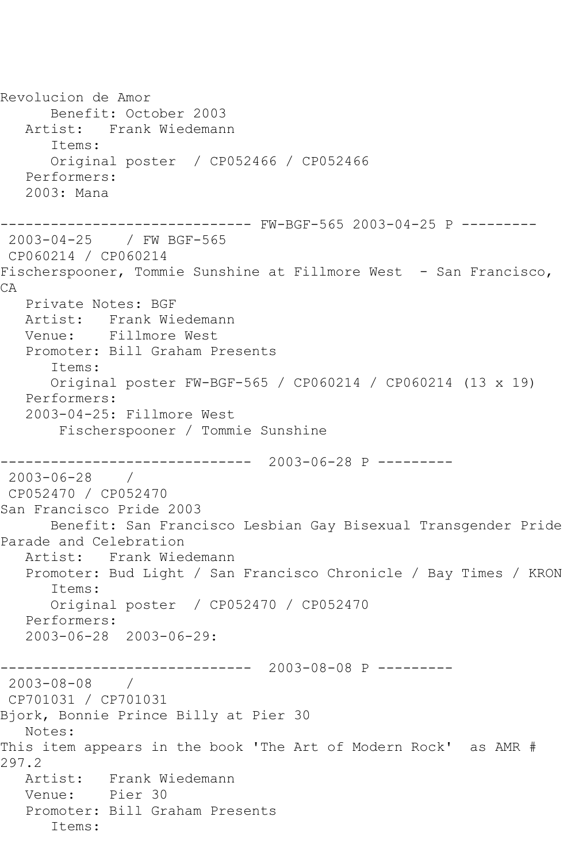Revolucion de Amor Benefit: October 2003 Artist: Frank Wiedemann Items: Original poster / CP052466 / CP052466 Performers: 2003: Mana ------------------------------ FW-BGF-565 2003-04-25 P --------- 2003-04-25 / FW BGF-565 CP060214 / CP060214 Fischerspooner, Tommie Sunshine at Fillmore West - San Francisco, CA Private Notes: BGF Artist: Frank Wiedemann Venue: Fillmore West Promoter: Bill Graham Presents Items: Original poster FW-BGF-565 / CP060214 / CP060214 (13 x 19) Performers: 2003-04-25: Fillmore West Fischerspooner / Tommie Sunshine ------------------------------ 2003-06-28 P --------- 2003-06-28 / CP052470 / CP052470 San Francisco Pride 2003 Benefit: San Francisco Lesbian Gay Bisexual Transgender Pride Parade and Celebration Artist: Frank Wiedemann Promoter: Bud Light / San Francisco Chronicle / Bay Times / KRON Items: Original poster / CP052470 / CP052470 Performers: 2003-06-28 2003-06-29: ------------------------------ 2003-08-08 P --------- 2003-08-08 / CP701031 / CP701031 Bjork, Bonnie Prince Billy at Pier 30 Notes: This item appears in the book 'The Art of Modern Rock' as AMR # 297.2 Artist: Frank Wiedemann Venue: Pier 30 Promoter: Bill Graham Presents Items: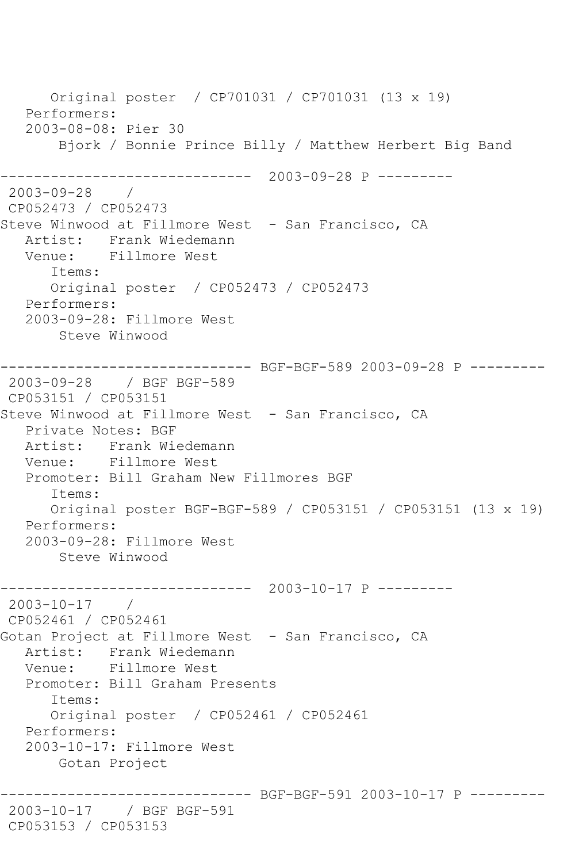Original poster / CP701031 / CP701031 (13 x 19) Performers: 2003-08-08: Pier 30 Bjork / Bonnie Prince Billy / Matthew Herbert Big Band ------------------------------ 2003-09-28 P --------- 2003-09-28 / CP052473 / CP052473 Steve Winwood at Fillmore West - San Francisco, CA Artist: Frank Wiedemann Venue: Fillmore West Items: Original poster / CP052473 / CP052473 Performers: 2003-09-28: Fillmore West Steve Winwood ------------------------------ BGF-BGF-589 2003-09-28 P --------- 2003-09-28 / BGF BGF-589 CP053151 / CP053151 Steve Winwood at Fillmore West - San Francisco, CA Private Notes: BGF Artist: Frank Wiedemann Venue: Fillmore West Promoter: Bill Graham New Fillmores BGF Items: Original poster BGF-BGF-589 / CP053151 / CP053151 (13 x 19) Performers: 2003-09-28: Fillmore West Steve Winwood ------------------------------ 2003-10-17 P --------- 2003-10-17 / CP052461 / CP052461 Gotan Project at Fillmore West - San Francisco, CA Artist: Frank Wiedemann Venue: Fillmore West Promoter: Bill Graham Presents Items: Original poster / CP052461 / CP052461 Performers: 2003-10-17: Fillmore West Gotan Project ------------------------------ BGF-BGF-591 2003-10-17 P --------- 2003-10-17 / BGF BGF-591 CP053153 / CP053153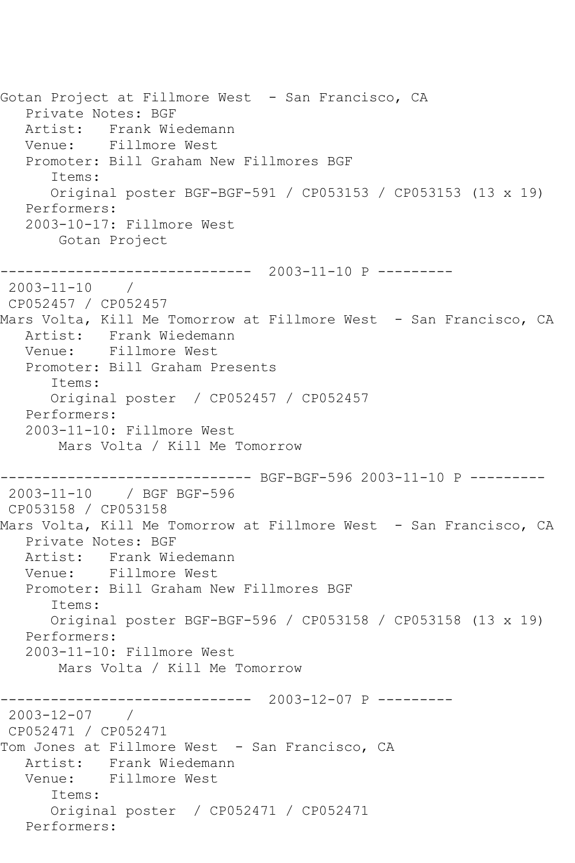Gotan Project at Fillmore West - San Francisco, CA Private Notes: BGF Artist: Frank Wiedemann Venue: Fillmore West Promoter: Bill Graham New Fillmores BGF Items: Original poster BGF-BGF-591 / CP053153 / CP053153 (13 x 19) Performers: 2003-10-17: Fillmore West Gotan Project ------------------------------ 2003-11-10 P --------- 2003-11-10 / CP052457 / CP052457 Mars Volta, Kill Me Tomorrow at Fillmore West - San Francisco, CA Artist: Frank Wiedemann Venue: Fillmore West Promoter: Bill Graham Presents Items: Original poster / CP052457 / CP052457 Performers: 2003-11-10: Fillmore West Mars Volta / Kill Me Tomorrow ------------------------------ BGF-BGF-596 2003-11-10 P --------- 2003-11-10 / BGF BGF-596 CP053158 / CP053158 Mars Volta, Kill Me Tomorrow at Fillmore West - San Francisco, CA Private Notes: BGF Artist: Frank Wiedemann Venue: Fillmore West Promoter: Bill Graham New Fillmores BGF Items: Original poster BGF-BGF-596 / CP053158 / CP053158 (13 x 19) Performers: 2003-11-10: Fillmore West Mars Volta / Kill Me Tomorrow ------------------------------ 2003-12-07 P --------- 2003-12-07 / CP052471 / CP052471 Tom Jones at Fillmore West - San Francisco, CA Artist: Frank Wiedemann Venue: Fillmore West Items: Original poster / CP052471 / CP052471 Performers: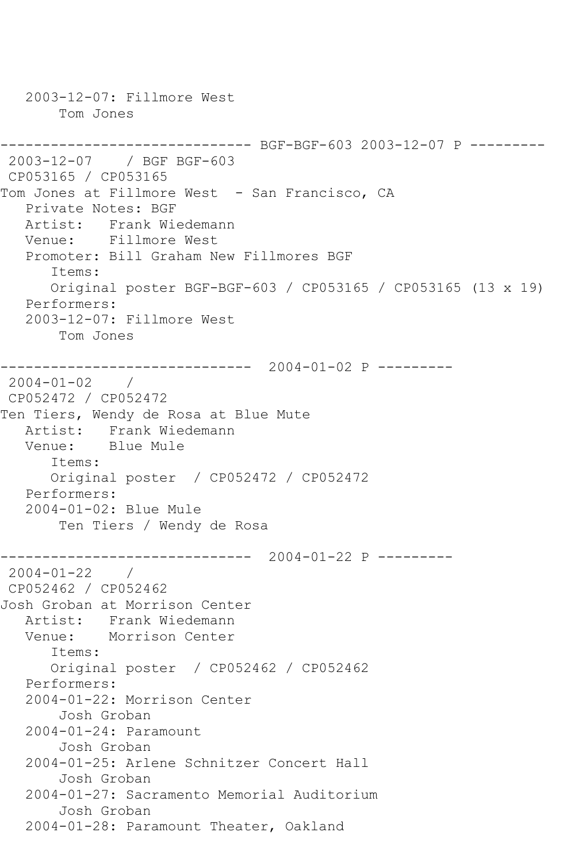2003-12-07: Fillmore West Tom Jones ------------------------------ BGF-BGF-603 2003-12-07 P --------- 2003-12-07 / BGF BGF-603 CP053165 / CP053165 Tom Jones at Fillmore West - San Francisco, CA Private Notes: BGF Artist: Frank Wiedemann Venue: Fillmore West Promoter: Bill Graham New Fillmores BGF Items: Original poster BGF-BGF-603 / CP053165 / CP053165 (13 x 19) Performers: 2003-12-07: Fillmore West Tom Jones ------------------------------ 2004-01-02 P --------- 2004-01-02 / CP052472 / CP052472 Ten Tiers, Wendy de Rosa at Blue Mute Artist: Frank Wiedemann Venue: Blue Mule Items: Original poster / CP052472 / CP052472 Performers: 2004-01-02: Blue Mule Ten Tiers / Wendy de Rosa ------------------------------ 2004-01-22 P --------- 2004-01-22 / CP052462 / CP052462 Josh Groban at Morrison Center Artist: Frank Wiedemann Venue: Morrison Center Items: Original poster / CP052462 / CP052462 Performers: 2004-01-22: Morrison Center Josh Groban 2004-01-24: Paramount Josh Groban 2004-01-25: Arlene Schnitzer Concert Hall Josh Groban 2004-01-27: Sacramento Memorial Auditorium Josh Groban 2004-01-28: Paramount Theater, Oakland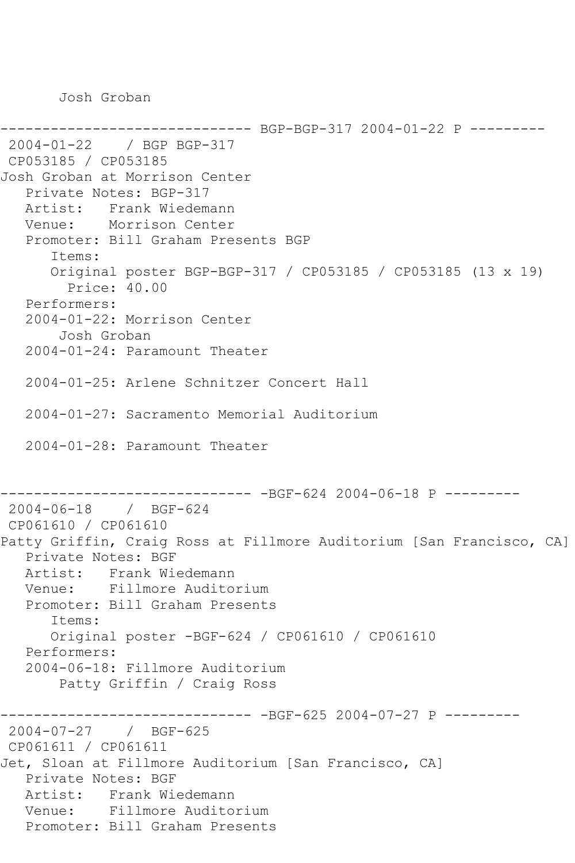Josh Groban

------------------------------ BGP-BGP-317 2004-01-22 P --------- 2004-01-22 / BGP BGP-317 CP053185 / CP053185 Josh Groban at Morrison Center Private Notes: BGP-317 Artist: Frank Wiedemann Venue: Morrison Center Promoter: Bill Graham Presents BGP Items: Original poster BGP-BGP-317 / CP053185 / CP053185 (13 x 19) Price: 40.00 Performers: 2004-01-22: Morrison Center Josh Groban 2004-01-24: Paramount Theater 2004-01-25: Arlene Schnitzer Concert Hall 2004-01-27: Sacramento Memorial Auditorium 2004-01-28: Paramount Theater ------------------------------ -BGF-624 2004-06-18 P --------- 2004-06-18 / BGF-624 CP061610 / CP061610 Patty Griffin, Craig Ross at Fillmore Auditorium [San Francisco, CA] Private Notes: BGF Artist: Frank Wiedemann Venue: Fillmore Auditorium Promoter: Bill Graham Presents Items: Original poster -BGF-624 / CP061610 / CP061610 Performers: 2004-06-18: Fillmore Auditorium Patty Griffin / Craig Ross ------------------------------ -BGF-625 2004-07-27 P --------- 2004-07-27 / BGF-625 CP061611 / CP061611 Jet, Sloan at Fillmore Auditorium [San Francisco, CA] Private Notes: BGF Artist: Frank Wiedemann Venue: Fillmore Auditorium Promoter: Bill Graham Presents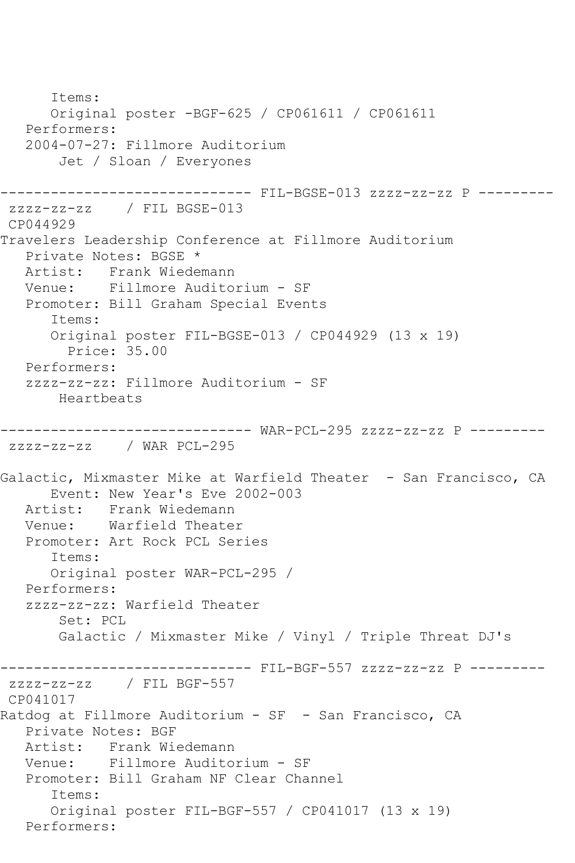Items: Original poster -BGF-625 / CP061611 / CP061611 Performers: 2004-07-27: Fillmore Auditorium Jet / Sloan / Everyones ------------------------------ FIL-BGSE-013 zzzz-zz-zz P -------- zzzz-zz-zz / FIL BGSE-013 CP044929 Travelers Leadership Conference at Fillmore Auditorium Private Notes: BGSE \* Artist: Frank Wiedemann Venue: Fillmore Auditorium - SF Promoter: Bill Graham Special Events Items: Original poster FIL-BGSE-013 / CP044929 (13 x 19) Price: 35.00 Performers: zzzz-zz-zz: Fillmore Auditorium - SF Heartbeats ------------------------------ WAR-PCL-295 zzzz-zz-zz P -------- zzzz-zz-zz / WAR PCL-295 Galactic, Mixmaster Mike at Warfield Theater - San Francisco, CA Event: New Year's Eve 2002-003 Artist: Frank Wiedemann Venue: Warfield Theater Promoter: Art Rock PCL Series Items: Original poster WAR-PCL-295 / Performers: zzzz-zz-zz: Warfield Theater Set: PCL Galactic / Mixmaster Mike / Vinyl / Triple Threat DJ's \_\_\_\_\_\_\_\_\_\_\_\_\_\_\_\_ ------------------------------ FIL-BGF-557 zzzz-zz-zz P -------- zzzz-zz-zz / FIL BGF-557 CP041017 Ratdog at Fillmore Auditorium - SF - San Francisco, CA Private Notes: BGF Artist: Frank Wiedemann Venue: Fillmore Auditorium - SF Promoter: Bill Graham NF Clear Channel Items: Original poster FIL-BGF-557 / CP041017 (13 x 19) Performers: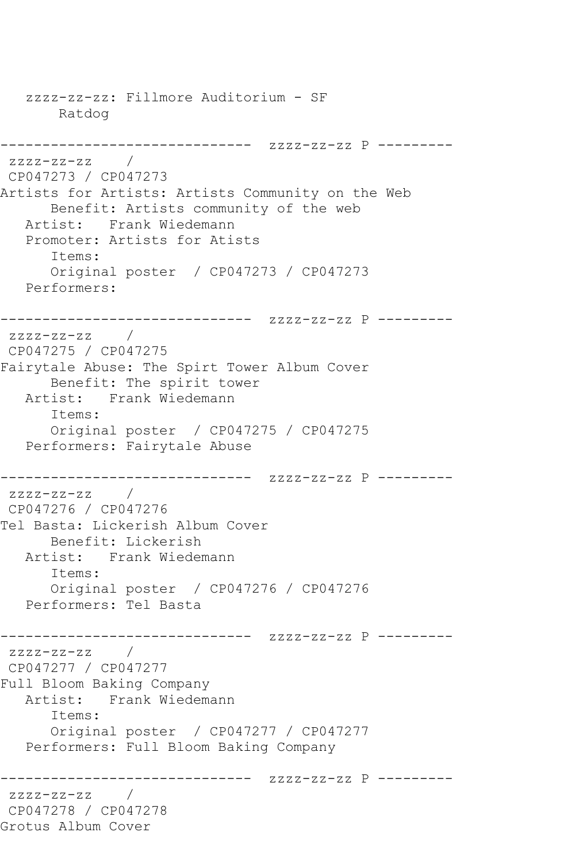zzzz-zz-zz: Fillmore Auditorium - SF Ratdog ------------------------------ zzzz-zz-zz P -------- zzzz-zz-zz / CP047273 / CP047273 Artists for Artists: Artists Community on the Web Benefit: Artists community of the web Artist: Frank Wiedemann Promoter: Artists for Atists Items: Original poster / CP047273 / CP047273 Performers: ------------------------------ zzzz-zz-zz P -------- zzzz-zz-zz / CP047275 / CP047275 Fairytale Abuse: The Spirt Tower Album Cover Benefit: The spirit tower Artist: Frank Wiedemann Items: Original poster / CP047275 / CP047275 Performers: Fairytale Abuse ------------------------------ zzzz-zz-zz P -------- zzzz-zz-zz / CP047276 / CP047276 Tel Basta: Lickerish Album Cover Benefit: Lickerish Artist: Frank Wiedemann Items: Original poster / CP047276 / CP047276 Performers: Tel Basta ------------------------------ zzzz-zz-zz P -------- zzzz-zz-zz / CP047277 / CP047277 Full Bloom Baking Company Artist: Frank Wiedemann Items: Original poster / CP047277 / CP047277 Performers: Full Bloom Baking Company ------------------------------ zzzz-zz-zz P -------- zzzz-zz-zz / CP047278 / CP047278 Grotus Album Cover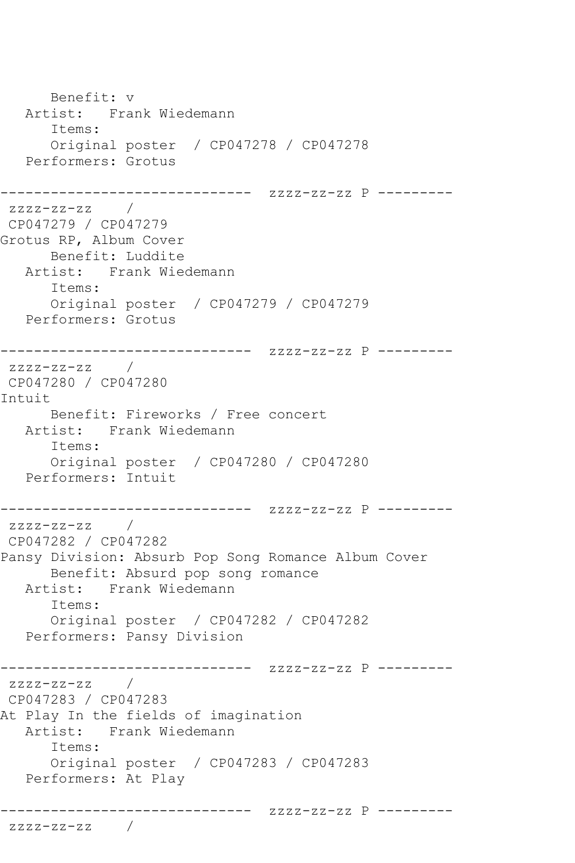Benefit: v Artist: Frank Wiedemann Items: Original poster / CP047278 / CP047278 Performers: Grotus ------------------------------ zzzz-zz-zz P --------  $zzzz-zz-zz$  / CP047279 / CP047279 Grotus RP, Album Cover Benefit: Luddite Artist: Frank Wiedemann Items: Original poster / CP047279 / CP047279 Performers: Grotus ------------------------------ zzzz-zz-zz P --------  $zzzz-zz-zz$  / CP047280 / CP047280 Intuit Benefit: Fireworks / Free concert Artist: Frank Wiedemann Items: Original poster / CP047280 / CP047280 Performers: Intuit ------------------------------ zzzz-zz-zz P -------- zzzz-zz-zz / CP047282 / CP047282 Pansy Division: Absurb Pop Song Romance Album Cover Benefit: Absurd pop song romance<br>Artist: Frank Wiedemann Frank Wiedemann Items: Original poster / CP047282 / CP047282 Performers: Pansy Division ------------------------------ zzzz-zz-zz P -------- zzzz-zz-zz / CP047283 / CP047283 At Play In the fields of imagination Artist: Frank Wiedemann Items: Original poster / CP047283 / CP047283 Performers: At Play ------------------------------ zzzz-zz-zz P -------- zzzz-zz-zz /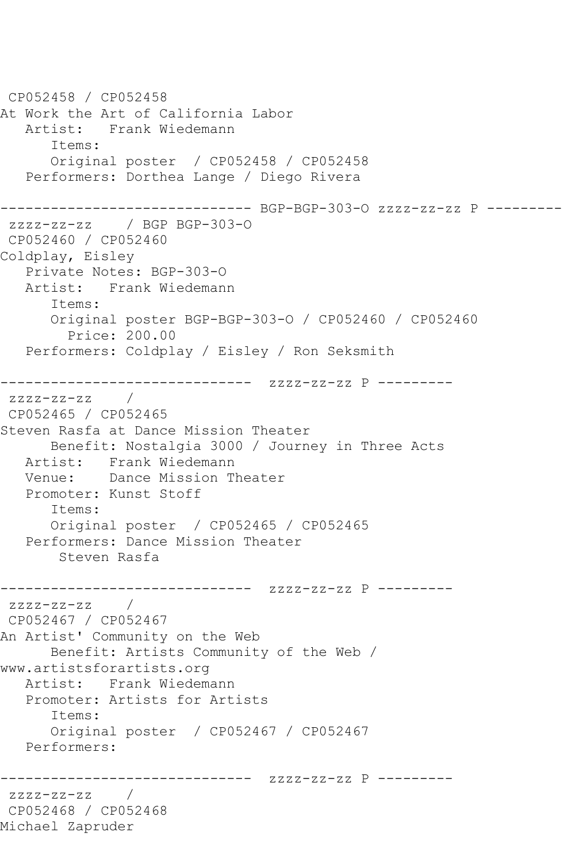```
CP052458 / CP052458
At Work the Art of California Labor
   Artist: Frank Wiedemann
      Items:
      Original poster / CP052458 / CP052458
   Performers: Dorthea Lange / Diego Rivera
------------------------------ BGP-BGP-303-O zzzz-zz-zz P ---------
zzzz-zz-zz / BGP BGP-303-O
CP052460 / CP052460
Coldplay, Eisley
   Private Notes: BGP-303-O
   Artist: Frank Wiedemann
      Items:
      Original poster BGP-BGP-303-O / CP052460 / CP052460
        Price: 200.00
   Performers: Coldplay / Eisley / Ron Seksmith
------------------------------ zzzz-zz-zz P ---------
zzzz-zz-zz / 
CP052465 / CP052465
Steven Rasfa at Dance Mission Theater
      Benefit: Nostalgia 3000 / Journey in Three Acts
   Artist: Frank Wiedemann
   Venue: Dance Mission Theater
   Promoter: Kunst Stoff
      Items:
      Original poster / CP052465 / CP052465
   Performers: Dance Mission Theater
       Steven Rasfa
------------------------------ zzzz-zz-zz P ---------
zzzz-zz-zz /
CP052467 / CP052467
An Artist' Community on the Web
      Benefit: Artists Community of the Web / 
www.artistsforartists.org
   Artist: Frank Wiedemann
   Promoter: Artists for Artists
      Items:
      Original poster / CP052467 / CP052467
   Performers:
------------------------------ zzzz-zz-zz P ---------
zzzz-zz-zz / 
CP052468 / CP052468
Michael Zapruder
```